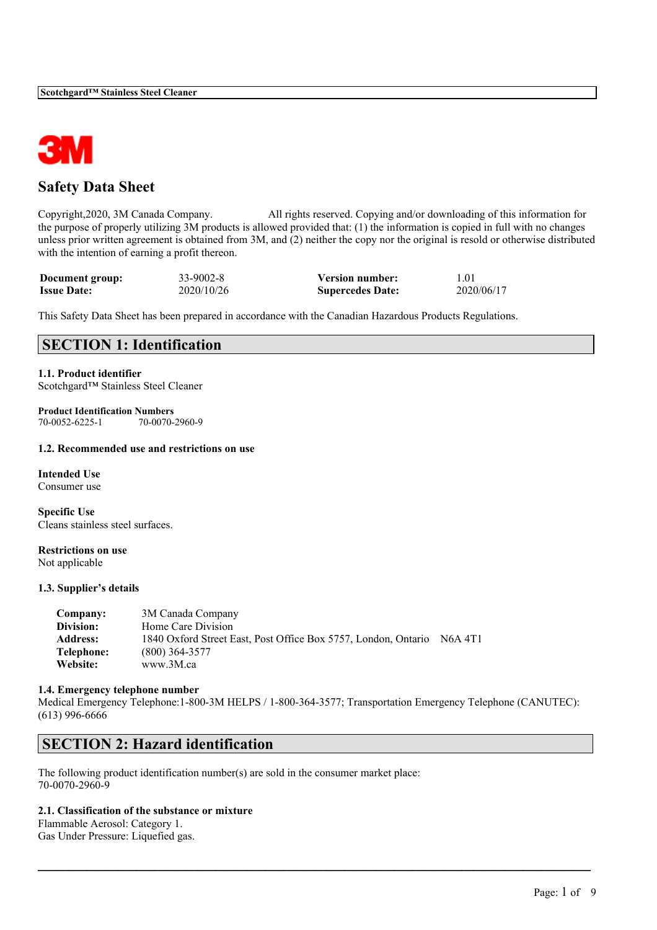

## **Safety Data Sheet**

Copyright,2020, 3M Canada Company. All rights reserved. Copying and/or downloading of this information for the purpose of properly utilizing 3M products is allowed provided that: (1) the information is copied in full with no changes unless prior written agreement is obtained from 3M, and (2) neither the copy nor the original is resold or otherwise distributed with the intention of earning a profit thereon.

| Document group:    | $33-9002-8$ | <b>Version number:</b>  | 1.01       |
|--------------------|-------------|-------------------------|------------|
| <b>Issue Date:</b> | 2020/10/26  | <b>Supercedes Date:</b> | 2020/06/17 |

This Safety Data Sheet has been prepared in accordance with the Canadian Hazardous Products Regulations.

## **SECTION 1: Identification**

**1.1. Product identifier** Scotchgard™ Stainless Steel Cleaner

**Product Identification Numbers** 70-0070-2960-9

#### **1.2. Recommended use and restrictions on use**

**Intended Use** Consumer use

**Specific Use** Cleans stainless steel surfaces.

**Restrictions on use** Not applicable

### **1.3. Supplier's details**

| Company:        | 3M Canada Company                                              |         |
|-----------------|----------------------------------------------------------------|---------|
| Division:       | Home Care Division                                             |         |
| <b>Address:</b> | 1840 Oxford Street East, Post Office Box 5757, London, Ontario | N6A 4T1 |
| Telephone:      | $(800)$ 364-3577                                               |         |
| Website:        | www.3M.ca                                                      |         |

#### **1.4. Emergency telephone number**

Medical Emergency Telephone:1-800-3M HELPS / 1-800-364-3577; Transportation Emergency Telephone (CANUTEC): (613) 996-6666

 $\mathcal{L}_\mathcal{L} = \mathcal{L}_\mathcal{L} = \mathcal{L}_\mathcal{L} = \mathcal{L}_\mathcal{L} = \mathcal{L}_\mathcal{L} = \mathcal{L}_\mathcal{L} = \mathcal{L}_\mathcal{L} = \mathcal{L}_\mathcal{L} = \mathcal{L}_\mathcal{L} = \mathcal{L}_\mathcal{L} = \mathcal{L}_\mathcal{L} = \mathcal{L}_\mathcal{L} = \mathcal{L}_\mathcal{L} = \mathcal{L}_\mathcal{L} = \mathcal{L}_\mathcal{L} = \mathcal{L}_\mathcal{L} = \mathcal{L}_\mathcal{L}$ 

## **SECTION 2: Hazard identification**

The following product identification number(s) are sold in the consumer market place: 70-0070-2960-9

#### **2.1. Classification of the substance or mixture**

Flammable Aerosol: Category 1. Gas Under Pressure: Liquefied gas.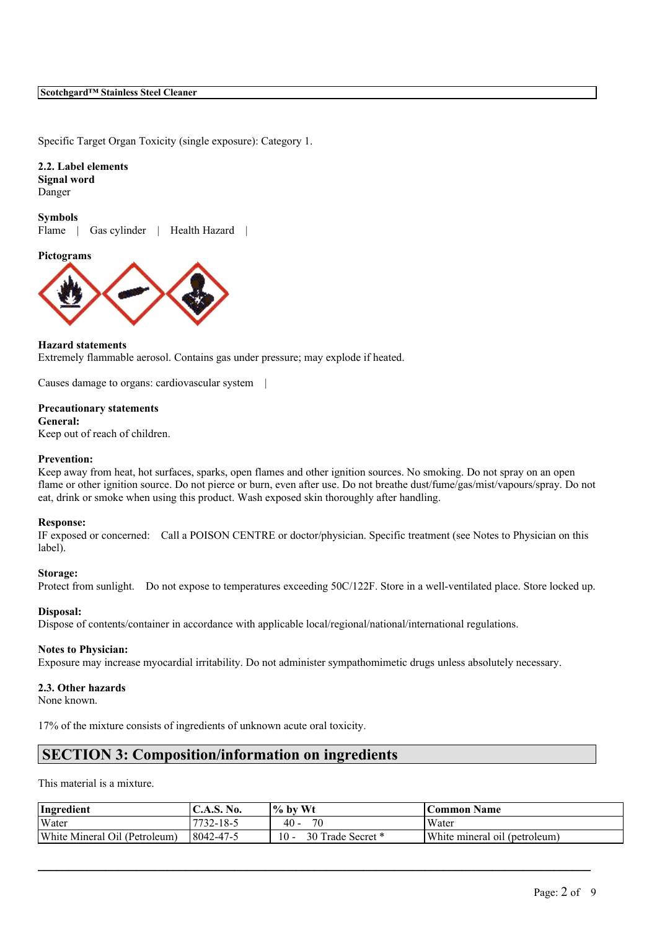### **Scotchgard™ Stainless Steel Cleaner**

Specific Target Organ Toxicity (single exposure): Category 1.

**2.2. Label elements Signal word** Danger

**Symbols** Flame | Gas cylinder | Health Hazard |

**Pictograms**



## **Hazard statements**

Extremely flammable aerosol. Contains gas under pressure; may explode if heated.

Causes damage to organs: cardiovascular system |

#### **Precautionary statements**

**General:**

Keep out of reach of children.

#### **Prevention:**

Keep away from heat, hot surfaces, sparks, open flames and other ignition sources. No smoking. Do not spray on an open flame or other ignition source. Do not pierce or burn, even after use. Do not breathe dust/fume/gas/mist/vapours/spray. Do not eat, drink or smoke when using this product. Wash exposed skin thoroughly after handling.

#### **Response:**

IF exposed or concerned: Call a POISON CENTRE or doctor/physician. Specific treatment (see Notes to Physician on this label).

#### **Storage:**

Protect from sunlight. Do not expose to temperatures exceeding 50C/122F. Store in a well-ventilated place. Store locked up.

#### **Disposal:**

Dispose of contents/container in accordance with applicable local/regional/national/international regulations.

#### **Notes to Physician:**

Exposure may increase myocardial irritability. Do not administer sympathomimetic drugs unless absolutely necessary.

#### **2.3. Other hazards**

None known.

17% of the mixture consists of ingredients of unknown acute oral toxicity.

## **SECTION 3: Composition/information on ingredients**

This material is a mixture.

| Ingredient                    | $\mathbf{N_0}$<br>$\mathsf{L.A.S.}$ | $\frac{9}{6}$ by Wt       | Common Name                        |
|-------------------------------|-------------------------------------|---------------------------|------------------------------------|
| Water                         | 7732-18-5                           | 70<br>$40 -$              | Water                              |
| White Mineral Oil (Petroleum) | 8042-47-5                           | 10 -<br>30 Trade Secret * | White mineral oil<br>l (petroleum) |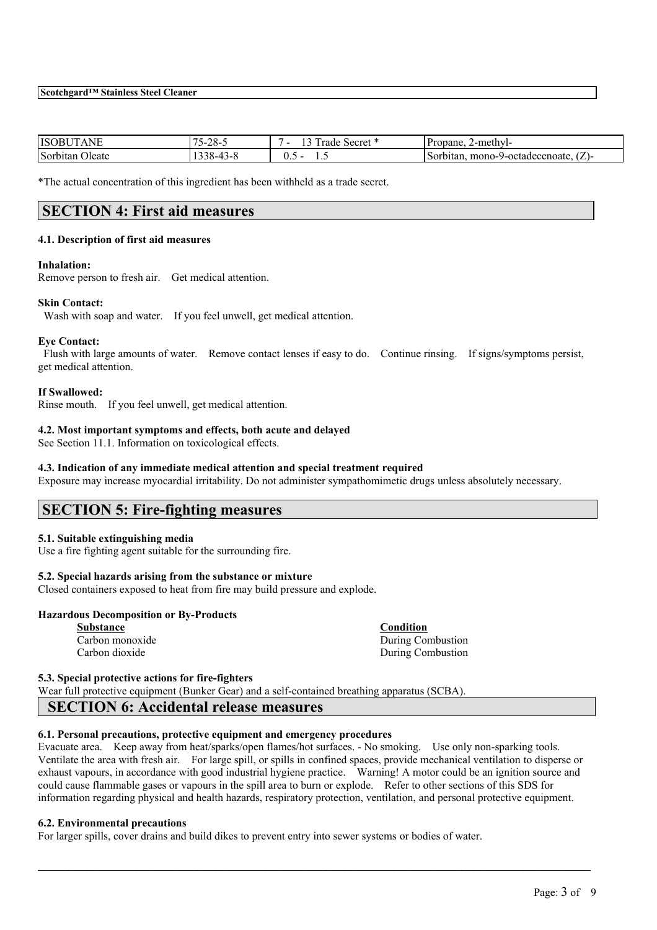| <b>ISOB</b><br>$\mathbf{v}$<br>N | $-$<br>$-28-5$<br>$\mathbf{v}$ | m<br>$\sim$<br>Secret<br>rade | Propane.<br>2-methyl-                               |
|----------------------------------|--------------------------------|-------------------------------|-----------------------------------------------------|
| Sorbitan<br><b>Oleate</b>        | 41 D A                         | U.J<br>.                      | $\sim$<br>-octadecenoate<br>$mono-9$<br>гонан<br>ιL |

\*The actual concentration of this ingredient has been withheld as a trade secret.

## **SECTION 4: First aid measures**

#### **4.1. Description of first aid measures**

#### **Inhalation:**

Remove person to fresh air. Get medical attention.

#### **Skin Contact:**

Wash with soap and water. If you feel unwell, get medical attention.

#### **Eye Contact:**

Flush with large amounts of water. Remove contact lenses if easy to do. Continue rinsing. If signs/symptoms persist, get medical attention.

#### **If Swallowed:**

Rinse mouth. If you feel unwell, get medical attention.

### **4.2. Most important symptoms and effects, both acute and delayed**

See Section 11.1. Information on toxicological effects.

## **4.3. Indication of any immediate medical attention and special treatment required**

Exposure may increase myocardial irritability. Do not administer sympathomimetic drugs unless absolutely necessary.

## **SECTION 5: Fire-fighting measures**

### **5.1. Suitable extinguishing media**

Use a fire fighting agent suitable for the surrounding fire.

#### **5.2. Special hazards arising from the substance or mixture**

Closed containers exposed to heat from fire may build pressure and explode.

#### **Hazardous Decomposition or By-Products**

**Substance Condition Carbon monoxide During Combustion** 

Carbon dioxide During Combustion

#### **5.3. Special protective actions for fire-fighters**

Wear full protective equipment (Bunker Gear) and a self-contained breathing apparatus (SCBA).

## **SECTION 6: Accidental release measures**

### **6.1. Personal precautions, protective equipment and emergency procedures**

Evacuate area. Keep away from heat/sparks/open flames/hot surfaces. - No smoking. Use only non-sparking tools. Ventilate the area with fresh air. For large spill, or spills in confined spaces, provide mechanical ventilation to disperse or exhaust vapours, in accordance with good industrial hygiene practice. Warning! A motor could be an ignition source and could cause flammable gases or vapours in the spill area to burn or explode. Refer to other sections of this SDS for information regarding physical and health hazards, respiratory protection, ventilation, and personal protective equipment.

 $\mathcal{L}_\mathcal{L} = \mathcal{L}_\mathcal{L} = \mathcal{L}_\mathcal{L} = \mathcal{L}_\mathcal{L} = \mathcal{L}_\mathcal{L} = \mathcal{L}_\mathcal{L} = \mathcal{L}_\mathcal{L} = \mathcal{L}_\mathcal{L} = \mathcal{L}_\mathcal{L} = \mathcal{L}_\mathcal{L} = \mathcal{L}_\mathcal{L} = \mathcal{L}_\mathcal{L} = \mathcal{L}_\mathcal{L} = \mathcal{L}_\mathcal{L} = \mathcal{L}_\mathcal{L} = \mathcal{L}_\mathcal{L} = \mathcal{L}_\mathcal{L}$ 

### **6.2. Environmental precautions**

For larger spills, cover drains and build dikes to prevent entry into sewer systems or bodies of water.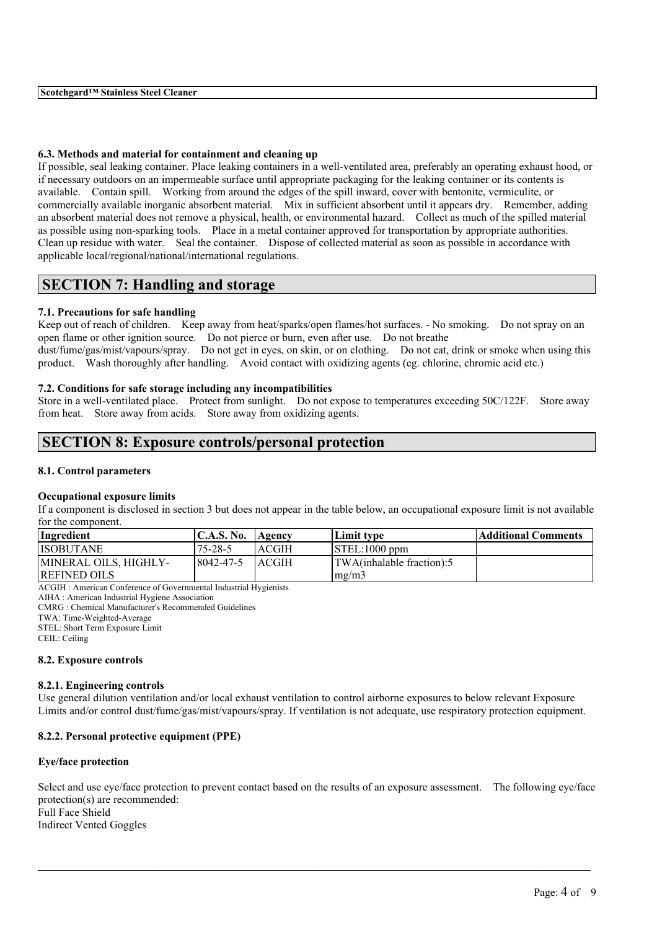### **6.3. Methods and material for containment and cleaning up**

If possible, seal leaking container. Place leaking containers in a well-ventilated area, preferably an operating exhaust hood, or if necessary outdoors on an impermeable surface until appropriate packaging for the leaking container or its contents is available. Contain spill. Working from around the edges of the spill inward, cover with bentonite, vermiculite, or commercially available inorganic absorbent material. Mix in sufficient absorbent until it appears dry. Remember, adding an absorbent material does not remove a physical, health, or environmental hazard. Collect as much of the spilled material as possible using non-sparking tools. Place in a metal container approved for transportation by appropriate authorities. Clean up residue with water. Seal the container. Dispose of collected material as soon as possible in accordance with applicable local/regional/national/international regulations.

## **SECTION 7: Handling and storage**

### **7.1. Precautions for safe handling**

Keep out of reach of children. Keep away from heat/sparks/open flames/hot surfaces. - No smoking. Do not spray on an open flame or other ignition source. Do not pierce or burn, even after use. Do not breathe dust/fume/gas/mist/vapours/spray. Do not get in eyes, on skin, or on clothing. Do not eat, drink or smoke when using this product. Wash thoroughly after handling. Avoid contact with oxidizing agents (eg. chlorine, chromic acid etc.)

## **7.2. Conditions for safe storage including any incompatibilities**

Store in a well-ventilated place. Protect from sunlight. Do not expose to temperatures exceeding 50C/122F. Store away from heat. Store away from acids. Store away from oxidizing agents.

## **SECTION 8: Exposure controls/personal protection**

### **8.1. Control parameters**

#### **Occupational exposure limits**

If a component is disclosed in section 3 but does not appear in the table below, an occupational exposure limit is not available for the component.

| Ingredient            | <b>C.A.S. No.</b> | Agency       | Limit tvpe                    | Additional Comments |
|-----------------------|-------------------|--------------|-------------------------------|---------------------|
| <b>ISOBUTANE</b>      | $75 - 28 - 5$     | <b>ACGIH</b> | $\text{ISTEL}:1000$ ppm       |                     |
| MINERAL OILS, HIGHLY- | 8042-47-5         | <b>ACGIH</b> | TWA(inhalable fraction):5     |                     |
| <b>REFINED OILS</b>   |                   |              | $\text{Im} \Omega / \text{m}$ |                     |
|                       |                   |              |                               |                     |

ACGIH : American Conference of Governmental Industrial Hygienists

AIHA : American Industrial Hygiene Association

CMRG : Chemical Manufacturer's Recommended Guidelines

TWA: Time-Weighted-Average

STEL: Short Term Exposure Limit

CEIL: Ceiling

#### **8.2. Exposure controls**

### **8.2.1. Engineering controls**

Use general dilution ventilation and/or local exhaust ventilation to control airborne exposures to below relevant Exposure Limits and/or control dust/fume/gas/mist/vapours/spray. If ventilation is not adequate, use respiratory protection equipment.

## **8.2.2. Personal protective equipment (PPE)**

### **Eye/face protection**

Select and use eye/face protection to prevent contact based on the results of an exposure assessment. The following eye/face protection(s) are recommended: Full Face Shield Indirect Vented Goggles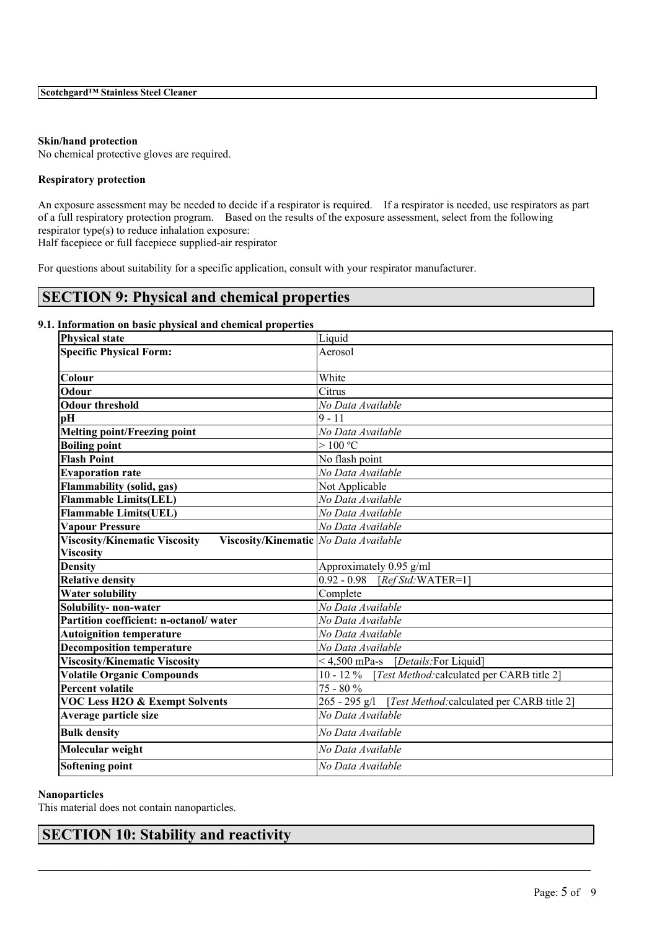### **Skin/hand protection**

No chemical protective gloves are required.

### **Respiratory protection**

An exposure assessment may be needed to decide if a respirator is required. If a respirator is needed, use respirators as part of a full respiratory protection program. Based on the results of the exposure assessment, select from the following respirator type(s) to reduce inhalation exposure:

Half facepiece or full facepiece supplied-air respirator

For questions about suitability for a specific application, consult with your respirator manufacturer.

# **SECTION 9: Physical and chemical properties**

## **9.1. Information on basic physical and chemical properties**

| <b>Physical state</b>                                                           | Liquid                                                      |
|---------------------------------------------------------------------------------|-------------------------------------------------------------|
| <b>Specific Physical Form:</b>                                                  | Aerosol                                                     |
|                                                                                 |                                                             |
| Colour                                                                          | White                                                       |
| Odour                                                                           | Citrus                                                      |
| <b>Odour threshold</b>                                                          | No Data Available                                           |
| pH                                                                              | $ 9 - 11$                                                   |
| <b>Melting point/Freezing point</b>                                             | No Data Available                                           |
| <b>Boiling point</b>                                                            | >100 °C                                                     |
| <b>Flash Point</b>                                                              | No flash point                                              |
| <b>Evaporation rate</b>                                                         | No Data Available                                           |
| Flammability (solid, gas)                                                       | Not Applicable                                              |
| <b>Flammable Limits(LEL)</b>                                                    | No Data Available                                           |
| <b>Flammable Limits(UEL)</b>                                                    | No Data Available                                           |
| <b>Vapour Pressure</b>                                                          | No Data Available                                           |
| <b>Viscosity/Kinematic Viscosity</b><br>Viscosity/Kinematic   No Data Available |                                                             |
| <b>Viscosity</b>                                                                |                                                             |
| <b>Density</b>                                                                  | Approximately 0.95 g/ml                                     |
| <b>Relative density</b>                                                         | 0.92 - 0.98 [Ref Std: WATER=1]                              |
| <b>Water solubility</b>                                                         | Complete                                                    |
| Solubility- non-water                                                           | No Data Available                                           |
| Partition coefficient: n-octanol/water                                          | No Data Available                                           |
| <b>Autoignition temperature</b>                                                 | No Data Available                                           |
| <b>Decomposition temperature</b>                                                | No Data Available                                           |
| <b>Viscosity/Kinematic Viscosity</b>                                            | <4,500 mPa-s [Details: For Liquid]                          |
| <b>Volatile Organic Compounds</b>                                               | $10 - 12\%$<br>[Test Method: calculated per CARB title 2]   |
| Percent volatile                                                                | 75 - 80 %                                                   |
| <b>VOC Less H2O &amp; Exempt Solvents</b>                                       | 265 - 295 g/l<br>[Test Method: calculated per CARB title 2] |
| Average particle size                                                           | No Data Available                                           |
| <b>Bulk density</b>                                                             | No Data Available                                           |
| Molecular weight                                                                | No Data Available                                           |
| Softening point                                                                 | No Data Available                                           |

 $\mathcal{L}_\mathcal{L} = \mathcal{L}_\mathcal{L} = \mathcal{L}_\mathcal{L} = \mathcal{L}_\mathcal{L} = \mathcal{L}_\mathcal{L} = \mathcal{L}_\mathcal{L} = \mathcal{L}_\mathcal{L} = \mathcal{L}_\mathcal{L} = \mathcal{L}_\mathcal{L} = \mathcal{L}_\mathcal{L} = \mathcal{L}_\mathcal{L} = \mathcal{L}_\mathcal{L} = \mathcal{L}_\mathcal{L} = \mathcal{L}_\mathcal{L} = \mathcal{L}_\mathcal{L} = \mathcal{L}_\mathcal{L} = \mathcal{L}_\mathcal{L}$ 

### **Nanoparticles**

This material does not contain nanoparticles.

## **SECTION 10: Stability and reactivity**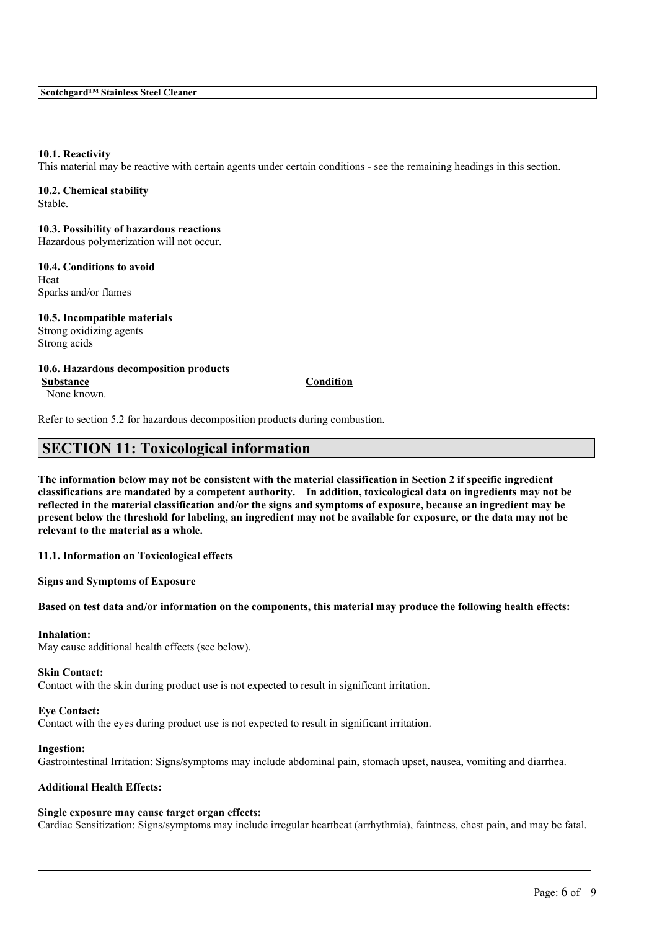#### **10.1. Reactivity**

This material may be reactive with certain agents under certain conditions - see the remaining headings in this section.

**10.2. Chemical stability** Stable.

**10.3. Possibility of hazardous reactions** Hazardous polymerization will not occur.

**10.4. Conditions to avoid** Heat Sparks and/or flames

**10.5. Incompatible materials** Strong oxidizing agents Strong acids

**10.6. Hazardous decomposition products Substance Condition** None known.

Refer to section 5.2 for hazardous decomposition products during combustion.

## **SECTION 11: Toxicological information**

The information below may not be consistent with the material classification in Section 2 if specific ingredient **classifications are mandated by a competent authority. In addition, toxicological data on ingredients may not be** reflected in the material classification and/or the signs and symptoms of exposure, because an ingredient may be present below the threshold for labeling, an ingredient may not be available for exposure, or the data may not be **relevant to the material as a whole.**

**11.1. Information on Toxicological effects**

**Signs and Symptoms of Exposure**

Based on test data and/or information on the components, this material may produce the following health effects:

#### **Inhalation:**

May cause additional health effects (see below).

**Skin Contact:**

Contact with the skin during product use is not expected to result in significant irritation.

#### **Eye Contact:**

Contact with the eyes during product use is not expected to result in significant irritation.

#### **Ingestion:**

Gastrointestinal Irritation: Signs/symptoms may include abdominal pain, stomach upset, nausea, vomiting and diarrhea.

#### **Additional Health Effects:**

#### **Single exposure may cause target organ effects:**

Cardiac Sensitization: Signs/symptoms may include irregular heartbeat (arrhythmia), faintness, chest pain, and may be fatal.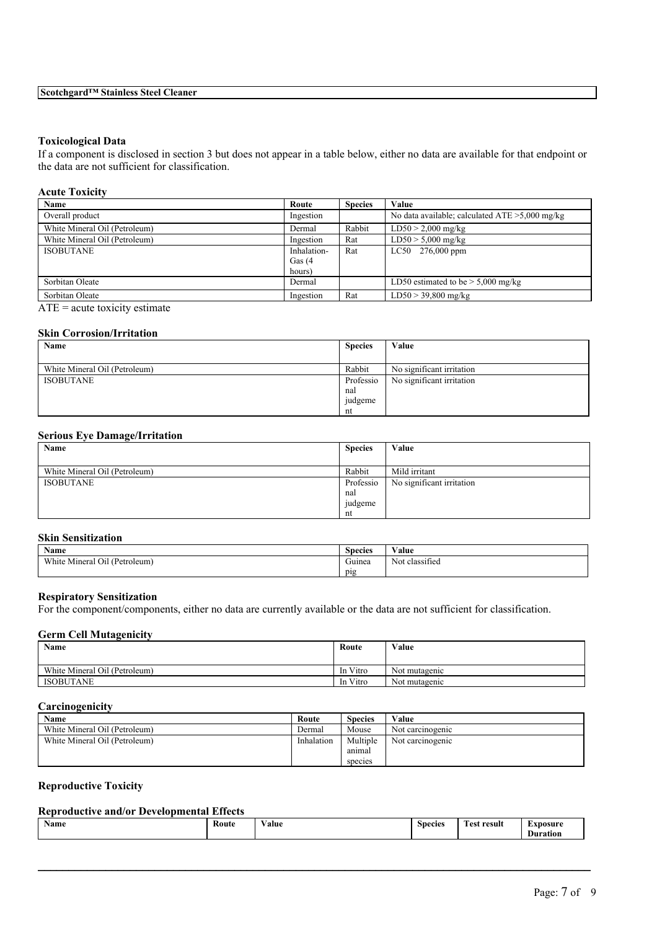## **Toxicological Data**

If a component is disclosed in section 3 but does not appear in a table below, either no data are available for that endpoint or the data are not sufficient for classification.

| <b>Acute Toxicity</b>         |             |                |                                                   |
|-------------------------------|-------------|----------------|---------------------------------------------------|
| Name                          | Route       | <b>Species</b> | Value                                             |
| Overall product               | Ingestion   |                | No data available; calculated $ATE > 5,000$ mg/kg |
| White Mineral Oil (Petroleum) | Dermal      | Rabbit         | $LD50 > 2,000$ mg/kg                              |
| White Mineral Oil (Petroleum) | Ingestion   | Rat            | $LD50 > 5,000$ mg/kg                              |
| <b>ISOBUTANE</b>              | Inhalation- | Rat            | $LC50$ 276,000 ppm                                |
|                               | Gas $(4)$   |                |                                                   |
|                               | hours)      |                |                                                   |
| Sorbitan Oleate               | Dermal      |                | LD50 estimated to be $> 5,000$ mg/kg              |
| Sorbitan Oleate               | Ingestion   | Rat            | $LD50 > 39,800$ mg/kg                             |

 $ATE = acute$  toxicity estimate

## **Skin Corrosion/Irritation**

| Name                          | <b>Species</b> | Value                     |
|-------------------------------|----------------|---------------------------|
|                               |                |                           |
| White Mineral Oil (Petroleum) | Rabbit         | No significant irritation |
| <b>ISOBUTANE</b>              | Professio      | No significant irritation |
|                               | nal            |                           |
|                               | judgeme        |                           |
|                               | nt             |                           |

## **Serious Eye Damage/Irritation**

| Name                          | <b>Species</b> | Value                     |
|-------------------------------|----------------|---------------------------|
|                               |                |                           |
| White Mineral Oil (Petroleum) | Rabbit         | Mild irritant             |
| <b>ISOBUTANE</b>              | Professio      | No significant irritation |
|                               | nal            |                           |
|                               | judgeme        |                           |
|                               | nt             |                           |

### **Skin Sensitization**

| ----------------------------       |                          |                          |  |
|------------------------------------|--------------------------|--------------------------|--|
| <b>Name</b>                        | $\sim$<br><b>Species</b> | <b>WY 3</b><br>Value     |  |
| Mineral Oil (Petroleum)<br>White 1 | $\sim$<br>Guinea         | $\sim$<br>Not classified |  |
|                                    | pig                      |                          |  |

### **Respiratory Sensitization**

For the component/components, either no data are currently available or the data are not sufficient for classification.

#### **Germ Cell Mutagenicity**

| <b>Name</b>                   | Route    | Value         |
|-------------------------------|----------|---------------|
| White Mineral Oil (Petroleum) | In Vitro | Not mutagenic |
| <b>ISOBUTANE</b>              | In Vitro | Not mutagenic |

## **Carcinogenicity**

| Name                          | Route      | <b>Species</b> | Value            |
|-------------------------------|------------|----------------|------------------|
| White Mineral Oil (Petroleum) | Dermal     | Mouse          | Not carcinogenic |
| White Mineral Oil (Petroleum) | Inhalation | Multiple       | Not carcinogenic |
|                               |            | anımal         |                  |
|                               |            | species        |                  |

## **Reproductive Toxicity**

## **Reproductive and/or Developmental Effects**

| Name | Route<br>. | $-1$<br>⁄ alue<br>. | <b>Species</b><br>. | --<br>. est<br>result<br>. | "nosure<br>Duration |
|------|------------|---------------------|---------------------|----------------------------|---------------------|
|------|------------|---------------------|---------------------|----------------------------|---------------------|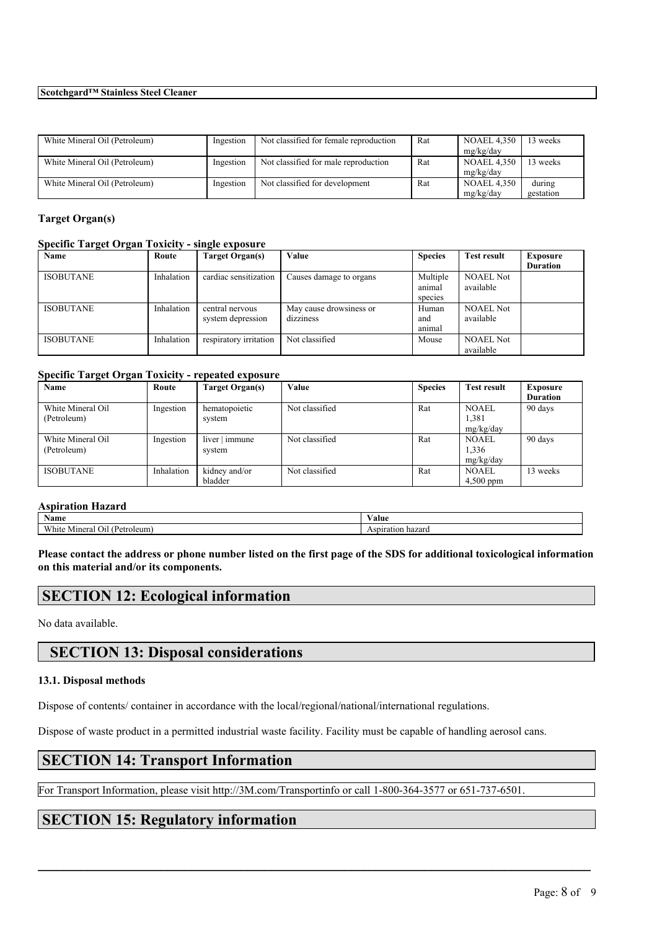### **Scotchgard™ Stainless Steel Cleaner**

| White Mineral Oil (Petroleum) | Ingestion | Not classified for female reproduction | Rat | <b>NOAEL 4,350</b> | 3 weeks   |
|-------------------------------|-----------|----------------------------------------|-----|--------------------|-----------|
|                               |           |                                        |     | mg/kg/day          |           |
| White Mineral Oil (Petroleum) | Ingestion | Not classified for male reproduction   | Rat | <b>NOAEL 4,350</b> | 13 weeks  |
|                               |           |                                        |     | mg/kg/day          |           |
| White Mineral Oil (Petroleum) | Ingestion | Not classified for development         | Rat | <b>NOAEL 4.350</b> | during    |
|                               |           |                                        |     | mg/kg/day          | gestation |

## **Target Organ(s)**

#### **Specific Target Organ Toxicity - single exposure**

| Name             | Route      | Target Organ(s)        | Value                   | <b>Species</b> | <b>Test result</b> | <b>Exposure</b> |
|------------------|------------|------------------------|-------------------------|----------------|--------------------|-----------------|
|                  |            |                        |                         |                |                    | <b>Duration</b> |
| <b>ISOBUTANE</b> | Inhalation | cardiac sensitization  | Causes damage to organs | Multiple       | <b>NOAEL Not</b>   |                 |
|                  |            |                        |                         | animal         | available          |                 |
|                  |            |                        |                         | species        |                    |                 |
| <b>ISOBUTANE</b> | Inhalation | central nervous        | May cause drowsiness or | Human          | <b>NOAEL Not</b>   |                 |
|                  |            | system depression      | dizziness               | and            | available          |                 |
|                  |            |                        |                         | animal         |                    |                 |
| <b>ISOBUTANE</b> | Inhalation | respiratory irritation | Not classified          | Mouse          | <b>NOAEL Not</b>   |                 |
|                  |            |                        |                         |                | available          |                 |

## **Specific Target Organ Toxicity - repeated exposure**

| . .<br>Name       | Route      | Target Organ(s) | Value          | <b>Species</b> | <b>Test result</b> | Exposure        |
|-------------------|------------|-----------------|----------------|----------------|--------------------|-----------------|
|                   |            |                 |                |                |                    | <b>Duration</b> |
| White Mineral Oil | Ingestion  | hematopoietic   | Not classified | Rat            | <b>NOAEL</b>       | 90 days         |
| (Petroleum)       |            | system          |                |                | 1,381              |                 |
|                   |            |                 |                |                | mg/kg/day          |                 |
| White Mineral Oil | Ingestion  | liver   immune  | Not classified | Rat            | <b>NOAEL</b>       | 90 days         |
| (Petroleum)       |            | system          |                |                | 1,336              |                 |
|                   |            |                 |                |                | mg/kg/day          |                 |
| <b>ISOBUTANE</b>  | Inhalation | kidney and/or   | Not classified | Rat            | <b>NOAEL</b>       | 13 weeks        |
|                   |            | bladder         |                |                | $4,500$ ppm        |                 |

## **Aspiration Hazard**

| $\rightarrow$<br>Name                                 | ⁄ alue               |
|-------------------------------------------------------|----------------------|
| <b>WWW</b><br>'Petroleum.<br>Mineral<br>Oı!<br>/ hite | Aspiration<br>hazard |

Please contact the address or phone number listed on the first page of the SDS for additional toxicological information **on this material and/or its components.**

## **SECTION 12: Ecological information**

No data available.

# **SECTION 13: Disposal considerations**

## **13.1. Disposal methods**

Dispose of contents/ container in accordance with the local/regional/national/international regulations.

Dispose of waste product in a permitted industrial waste facility. Facility must be capable of handling aerosol cans.

# **SECTION 14: Transport Information**

For Transport Information, please visit http://3M.com/Transportinfo or call 1-800-364-3577 or 651-737-6501.

 $\mathcal{L}_\mathcal{L} = \mathcal{L}_\mathcal{L} = \mathcal{L}_\mathcal{L} = \mathcal{L}_\mathcal{L} = \mathcal{L}_\mathcal{L} = \mathcal{L}_\mathcal{L} = \mathcal{L}_\mathcal{L} = \mathcal{L}_\mathcal{L} = \mathcal{L}_\mathcal{L} = \mathcal{L}_\mathcal{L} = \mathcal{L}_\mathcal{L} = \mathcal{L}_\mathcal{L} = \mathcal{L}_\mathcal{L} = \mathcal{L}_\mathcal{L} = \mathcal{L}_\mathcal{L} = \mathcal{L}_\mathcal{L} = \mathcal{L}_\mathcal{L}$ 

# **SECTION 15: Regulatory information**